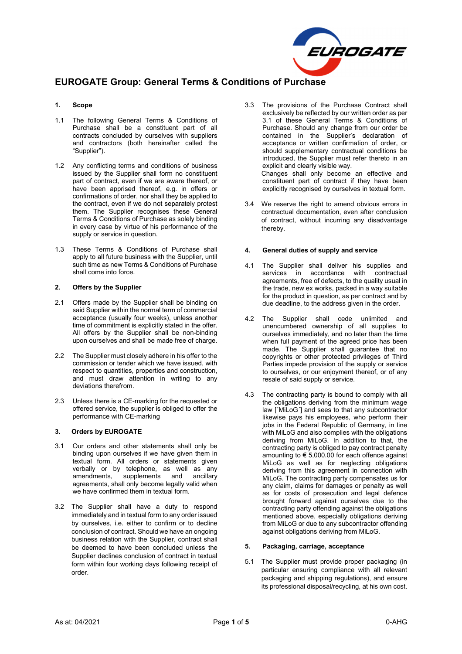

# **EUROGATE Group: General Terms & Conditions of Purchase**

## **1. Scope**

- 1.1 The following General Terms & Conditions of Purchase shall be a constituent part of all contracts concluded by ourselves with suppliers and contractors (both hereinafter called the "Supplier").
- 1.2 Any conflicting terms and conditions of business issued by the Supplier shall form no constituent part of contract, even if we are aware thereof, or have been apprised thereof, e.g. in offers or confirmations of order, nor shall they be applied to the contract, even if we do not separately protest them. The Supplier recognises these General Terms & Conditions of Purchase as solely binding in every case by virtue of his performance of the supply or service in question.
- 1.3 These Terms & Conditions of Purchase shall apply to all future business with the Supplier, until such time as new Terms & Conditions of Purchase shall come into force.

## **2. Offers by the Supplier**

- 2.1 Offers made by the Supplier shall be binding on said Supplier within the normal term of commercial acceptance (usually four weeks), unless another time of commitment is explicitly stated in the offer. All offers by the Supplier shall be non-binding upon ourselves and shall be made free of charge.
- 2.2 The Supplier must closely adhere in his offer to the commission or tender which we have issued, with respect to quantities, properties and construction, and must draw attention in writing to any deviations therefrom.
- 2.3 Unless there is a CE-marking for the requested or offered service, the supplier is obliged to offer the performance with CE-marking

## **3. Orders by EUROGATE**

- 3.1 Our orders and other statements shall only be binding upon ourselves if we have given them in textual form. All orders or statements given verbally or by telephone, as well as any<br>amendments, supplements and ancillary and ancillary agreements, shall only become legally valid when we have confirmed them in textual form.
- 3.2 The Supplier shall have a duty to respond immediately and in textual form to any order issued by ourselves, i.e. either to confirm or to decline conclusion of contract. Should we have an ongoing business relation with the Supplier, contract shall be deemed to have been concluded unless the Supplier declines conclusion of contract in textual form within four working days following receipt of order.
- 3.3 The provisions of the Purchase Contract shall exclusively be reflected by our written order as per 3.1 of these General Terms & Conditions of Purchase. Should any change from our order be contained in the Supplier's declaration of acceptance or written confirmation of order, or should supplementary contractual conditions be introduced, the Supplier must refer thereto in an explicit and clearly visible way. Changes shall only become an effective and constituent part of contract if they have been
- 3.4 We reserve the right to amend obvious errors in contractual documentation, even after conclusion of contract, without incurring any disadvantage thereby.

explicitly recognised by ourselves in textual form.

#### **4. General duties of supply and service**

- 4.1 The Supplier shall deliver his supplies and services in accordance with contractual agreements, free of defects, to the quality usual in the trade, new ex works, packed in a way suitable for the product in question, as per contract and by due deadline, to the address given in the order.
- 4.2 The Supplier shall cede unlimited and unencumbered ownership of all supplies to ourselves immediately, and no later than the time when full payment of the agreed price has been made. The Supplier shall guarantee that no copyrights or other protected privileges of Third Parties impede provision of the supply or service to ourselves, or our enjoyment thereof, or of any resale of said supply or service.
- 4.3 The contracting party is bound to comply with all the obligations deriving from the minimum wage law [´MiLoG´] and sees to that any subcontractor likewise pays his employees, who perform their jobs in the Federal Republic of Germany, in line with MiLoG and also complies with the obligations deriving from MiLoG. In addition to that, the contracting party is obliged to pay contract penalty amounting to  $\epsilon$  5,000.00 for each offence against MiLoG as well as for neglecting obligations deriving from this agreement in connection with MiLoG. The contracting party compensates us for any claim, claims for damages or penalty as well as for costs of prosecution and legal defence brought forward against ourselves due to the contracting party offending against the obligations mentioned above, especially obligations deriving from MiLoG or due to any subcontractor offending against obligations deriving from MiLoG.

## **5. Packaging, carriage, acceptance**

5.1 The Supplier must provide proper packaging (in particular ensuring compliance with all relevant packaging and shipping regulations), and ensure its professional disposal/recycling, at his own cost.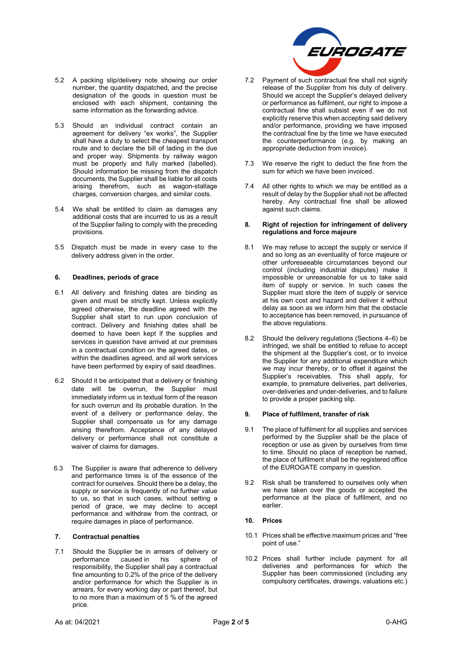

- 5.2 A packing slip/delivery note showing our order number, the quantity dispatched, and the precise designation of the goods in question must be enclosed with each shipment, containing the same information as the forwarding advice.
- 5.3 Should an individual contract contain an agreement for delivery "ex works", the Supplier shall have a duty to select the cheapest transport route and to declare the bill of lading in the due and proper way. Shipments by railway wagon must be properly and fully marked (labelled). Should information be missing from the dispatch documents, the Supplier shall be liable for all costs arising therefrom, such as wagon-stallage charges, conversion charges, and similar costs.
- 5.4 We shall be entitled to claim as damages any additional costs that are incurred to us as a result of the Supplier failing to comply with the preceding provisions.
- 5.5 Dispatch must be made in every case to the delivery address given in the order.

## **6. Deadlines, periods of grace**

- 6.1 All delivery and finishing dates are binding as given and must be strictly kept. Unless explicitly agreed otherwise, the deadline agreed with the Supplier shall start to run upon conclusion of contract. Delivery and finishing dates shall be deemed to have been kept if the supplies and services in question have arrived at our premises in a contractual condition on the agreed dates, or within the deadlines agreed, and all work services have been performed by expiry of said deadlines.
- 6.2 Should it be anticipated that a delivery or finishing date will be overrun, the Supplier must immediately inform us in textual form of the reason for such overrun and its probable duration. In the event of a delivery or performance delay, the Supplier shall compensate us for any damage arising therefrom. Acceptance of any delayed delivery or performance shall not constitute a waiver of claims for damages.
- 6.3 The Supplier is aware that adherence to delivery and performance times is of the essence of the contract for ourselves. Should there be a delay, the supply or service is frequently of no further value to us, so that in such cases, without setting a period of grace, we may decline to accept performance and withdraw from the contract, or require damages in place of performance.

#### **7. Contractual penalties**

7.1 Should the Supplier be in arrears of delivery or<br>performance caused in his sphere of  $\overline{\phantom{a}}$  caused in his sphere of responsibility, the Supplier shall pay a contractual fine amounting to 0.2% of the price of the delivery and/or performance for which the Supplier is in arrears, for every working day or part thereof, but to no more than a maximum of 5 % of the agreed price.

- 7.2 Payment of such contractual fine shall not signify release of the Supplier from his duty of delivery. Should we accept the Supplier's delayed delivery or performance as fulfilment, our right to impose a contractual fine shall subsist even if we do not explicitly reserve this when accepting said delivery and/or performance, providing we have imposed the contractual fine by the time we have executed the counterperformance (e.g. by making an appropriate deduction from invoice).
- 7.3 We reserve the right to deduct the fine from the sum for which we have been invoiced.
- 7.4 All other rights to which we may be entitled as a result of delay by the Supplier shall not be affected hereby. Any contractual fine shall be allowed against such claims.

#### **8. Right of rejection for infringement of delivery regulations and force majeure**

- 8.1 We may refuse to accept the supply or service if and so long as an eventuality of force majeure or other unforeseeable circumstances beyond our control (including industrial disputes) make it impossible or unreasonable for us to take said item of supply or service. In such cases the Supplier must store the item of supply or service at his own cost and hazard and deliver it without delay as soon as we inform him that the obstacle to acceptance has been removed, in pursuance of the above regulations.
- 8.2 Should the delivery regulations (Sections 4–6) be infringed, we shall be entitled to refuse to accept the shipment at the Supplier's cost, or to invoice the Supplier for any additional expenditure which we may incur thereby, or to offset it against the Supplier's receivables. This shall apply, for example, to premature deliveries, part deliveries, over-deliveries and under-deliveries, and to failure to provide a proper packing slip.

#### **9. Place of fulfilment, transfer of risk**

- 9.1 The place of fulfilment for all supplies and services performed by the Supplier shall be the place of reception or use as given by ourselves from time to time. Should no place of reception be named, the place of fulfilment shall be the registered office of the EUROGATE company in question.
- 9.2 Risk shall be transferred to ourselves only when we have taken over the goods or accepted the performance at the place of fulfilment, and no earlier.

#### **10. Prices**

- 10.1 Prices shall be effective maximum prices and "free point of use."
- 10.2 Prices shall further include payment for all deliveries and performances for which the Supplier has been commissioned (including any compulsory certificates, drawings, valuations etc.)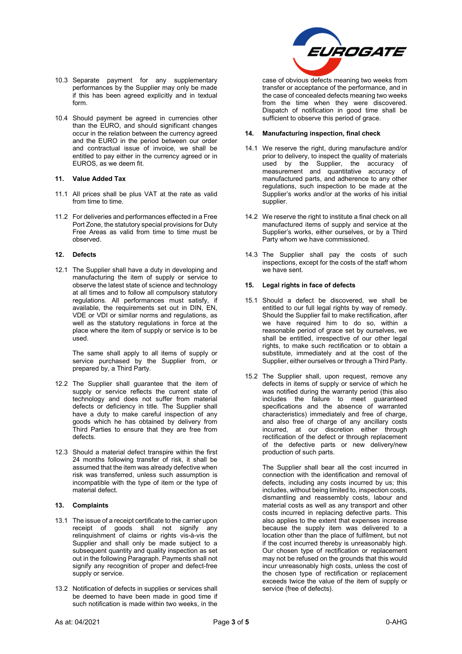- 10.3 Separate payment for any supplementary performances by the Supplier may only be made if this has been agreed explicitly and in textual form.
- 10.4 Should payment be agreed in currencies other than the EURO, and should significant changes occur in the relation between the currency agreed and the EURO in the period between our order and contractual issue of invoice, we shall be entitled to pay either in the currency agreed or in EUROS, as we deem fit.

## **11. Value Added Tax**

- 11.1 All prices shall be plus VAT at the rate as valid from time to time.
- 11.2 For deliveries and performances effected in a Free Port Zone, the statutory special provisions for Duty Free Areas as valid from time to time must be observed.

#### **12. Defects**

12.1 The Supplier shall have a duty in developing and manufacturing the item of supply or service to observe the latest state of science and technology at all times and to follow all compulsory statutory regulations. All performances must satisfy, if available, the requirements set out in DIN, EN, VDE or VDI or similar norms and regulations, as well as the statutory regulations in force at the place where the item of supply or service is to be used.

The same shall apply to all items of supply or service purchased by the Supplier from, or prepared by, a Third Party.

- 12.2 The Supplier shall guarantee that the item of supply or service reflects the current state of technology and does not suffer from material defects or deficiency in title. The Supplier shall have a duty to make careful inspection of any goods which he has obtained by delivery from Third Parties to ensure that they are free from defects.
- 12.3 Should a material defect transpire within the first 24 months following transfer of risk, it shall be assumed that the item was already defective when risk was transferred, unless such assumption is incompatible with the type of item or the type of material defect.

## **13. Complaints**

- 13.1 The issue of a receipt certificate to the carrier upon receipt of goods shall not signify any relinquishment of claims or rights vis-à-vis the Supplier and shall only be made subject to a subsequent quantity and quality inspection as set out in the following Paragraph. Payments shall not signify any recognition of proper and defect-free supply or service.
- 13.2 Notification of defects in supplies or services shall be deemed to have been made in good time if such notification is made within two weeks, in the



case of obvious defects meaning two weeks from transfer or acceptance of the performance, and in the case of concealed defects meaning two weeks from the time when they were discovered. Dispatch of notification in good time shall be sufficient to observe this period of grace.

## **14. Manufacturing inspection, final check**

- 14.1 We reserve the right, during manufacture and/or prior to delivery, to inspect the quality of materials used by the Supplier, the accuracy of measurement and quantitative accuracy of manufactured parts, and adherence to any other regulations, such inspection to be made at the Supplier's works and/or at the works of his initial supplier.
- 14.2 We reserve the right to institute a final check on all manufactured items of supply and service at the Supplier's works, either ourselves, or by a Third Party whom we have commissioned.
- 14.3 The Supplier shall pay the costs of such inspections, except for the costs of the staff whom we have sent.

## **15. Legal rights in face of defects**

- 15.1 Should a defect be discovered, we shall be entitled to our full legal rights by way of remedy. Should the Supplier fail to make rectification, after we have required him to do so, within a reasonable period of grace set by ourselves, we shall be entitled, irrespective of our other legal rights, to make such rectification or to obtain a substitute, immediately and at the cost of the Supplier, either ourselves or through a Third Party.
- 15.2 The Supplier shall, upon request, remove any defects in items of supply or service of which he was notified during the warranty period (this also includes the failure to meet guaranteed specifications and the absence of warranted characteristics) immediately and free of charge, and also free of charge of any ancillary costs incurred, at our discretion either through rectification of the defect or through replacement of the defective parts or new delivery/new production of such parts.

The Supplier shall bear all the cost incurred in connection with the identification and removal of defects, including any costs incurred by us; this includes, without being limited to, inspection costs, dismantling and reassembly costs, labour and material costs as well as any transport and other costs incurred in replacing defective parts. This also applies to the extent that expenses increase because the supply item was delivered to a location other than the place of fulfilment, but not if the cost incurred thereby is unreasonably high. Our chosen type of rectification or replacement may not be refused on the grounds that this would incur unreasonably high costs, unless the cost of the chosen type of rectification or replacement exceeds twice the value of the item of supply or service (free of defects).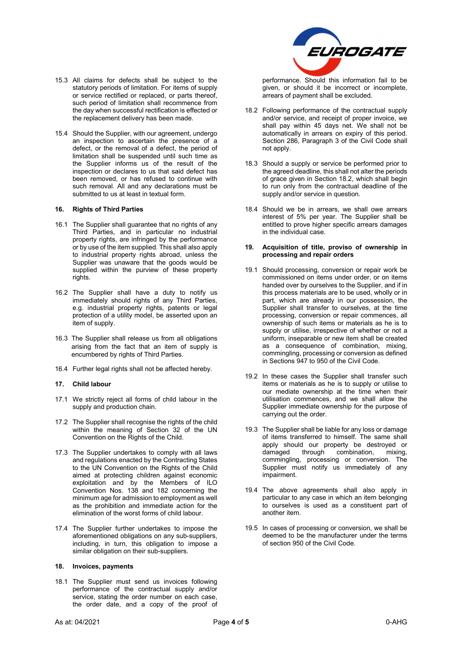

15.3 All claims for defects shall be subject to the statutory periods of limitation. For items of supply or service rectified or replaced, or parts thereof, such period of limitation shall recommence from the day when successful rectification is effected or the replacement delivery has been made.

15.4 Should the Supplier, with our agreement, undergo an inspection to ascertain the presence of a defect, or the removal of a defect, the period of limitation shall be suspended until such time as the Supplier informs us of the result of the inspection or declares to us that said defect has been removed, or has refused to continue with such removal. All and any declarations must be submitted to us at least in textual form.

## **16. Rights of Third Parties**

- 16.1 The Supplier shall guarantee that no rights of any Third Parties, and in particular no industrial property rights, are infringed by the performance or by use of the item supplied. This shall also apply to industrial property rights abroad, unless the Supplier was unaware that the goods would be supplied within the purview of these property rights.
- 16.2 The Supplier shall have a duty to notify us immediately should rights of any Third Parties, e.g. industrial property rights, patents or legal protection of a utility model, be asserted upon an item of supply.
- 16.3 The Supplier shall release us from all obligations arising from the fact that an item of supply is encumbered by rights of Third Parties.
- 16.4 Further legal rights shall not be affected hereby.

## **17. Child labour**

- 17.1 We strictly reject all forms of child labour in the supply and production chain.
- 17.2 The Supplier shall recognise the rights of the child within the meaning of Section 32 of the UN Convention on the Rights of the Child.
- 17.3 The Supplier undertakes to comply with all laws and regulations enacted by the Contracting States to the UN Convention on the Rights of the Child aimed at protecting children against economic exploitation and by the Members of ILO Convention Nos. 138 and 182 concerning the minimum age for admission to employment as well as the prohibition and immediate action for the elimination of the worst forms of child labour.
- 17.4 The Supplier further undertakes to impose the aforementioned obligations on any sub-suppliers, including, in turn, this obligation to impose a similar obligation on their sub-suppliers.

## **18. Invoices, payments**

18.1 The Supplier must send us invoices following performance of the contractual supply and/or service, stating the order number on each case, the order date, and a copy of the proof of performance. Should this information fail to be given, or should it be incorrect or incomplete, arrears of payment shall be excluded.

- 18.2 Following performance of the contractual supply and/or service, and receipt of proper invoice, we shall pay within 45 days net. We shall not be automatically in arrears on expiry of this period. Section 286, Paragraph 3 of the Civil Code shall not apply.
- 18.3 Should a supply or service be performed prior to the agreed deadline, this shall not alter the periods of grace given in Section 18.2, which shall begin to run only from the contractual deadline of the supply and/or service in question.
- 18.4 Should we be in arrears, we shall owe arrears interest of 5% per year. The Supplier shall be entitled to prove higher specific arrears damages in the individual case.

## **19. Acquisition of title, proviso of ownership in processing and repair orders**

- 19.1 Should processing, conversion or repair work be commissioned on items under order, or on items handed over by ourselves to the Supplier, and if in this process materials are to be used, wholly or in part, which are already in our possession, the Supplier shall transfer to ourselves, at the time processing, conversion or repair commences, all ownership of such items or materials as he is to supply or utilise, irrespective of whether or not a uniform, inseparable or new item shall be created as a consequence of combination, mixing, commingling, processing or conversion as defined in Sections 947 to 950 of the Civil Code.
- 19.2 In these cases the Supplier shall transfer such items or materials as he is to supply or utilise to our mediate ownership at the time when their utilisation commences, and we shall allow the Supplier immediate ownership for the purpose of carrying out the order.
- 19.3 The Supplier shall be liable for any loss or damage of items transferred to himself. The same shall apply should our property be destroyed or damaged through combination, mixing, commingling, processing or conversion. The Supplier must notify us immediately of any impairment.
- 19.4 The above agreements shall also apply in particular to any case in which an item belonging to ourselves is used as a constituent part of another item.
- 19.5 In cases of processing or conversion, we shall be deemed to be the manufacturer under the terms of section 950 of the Civil Code.